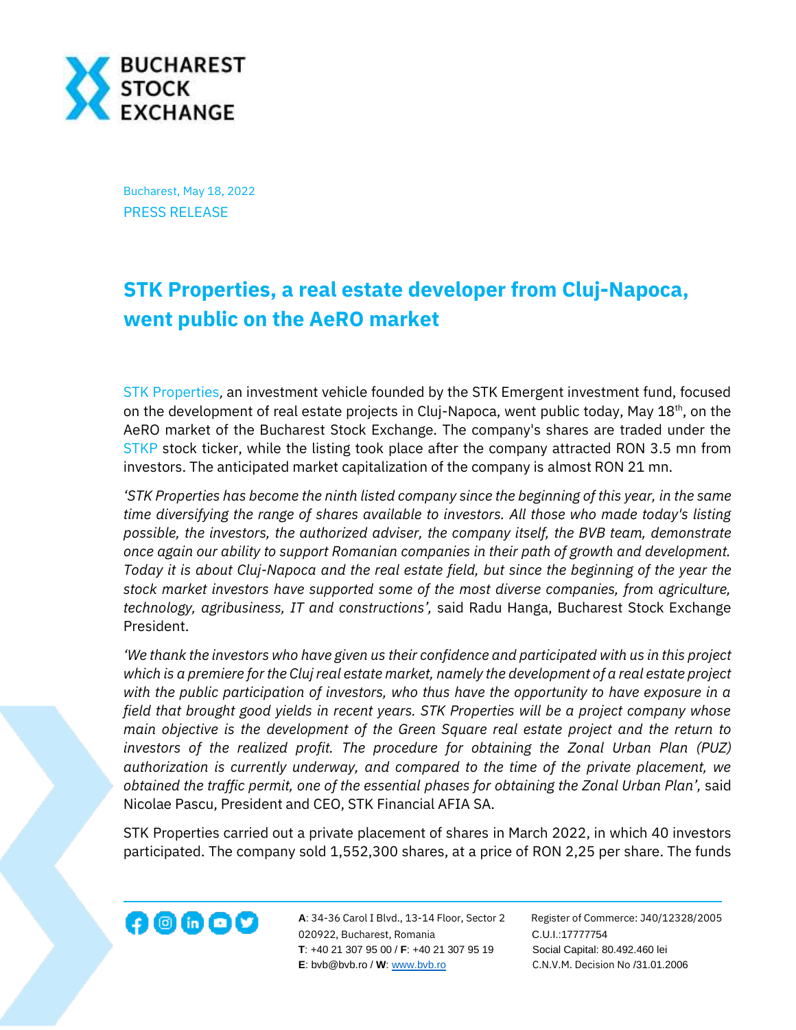

Bucharest, May 18, 2022 PRESS RELEASE

## **STK Properties, a real estate developer from Cluj-Napoca, went public on the AeRO market**

[STK Properties](https://www.stk.ro/), an investment vehicle founded by the STK Emergent investment fund, focused on the development of real estate projects in Cluj-Napoca, went public today, May  $18<sup>th</sup>$ , on the AeRO market of the Bucharest Stock Exchange. The company's shares are traded under the [STKP](https://bvb.ro/FinancialInstruments/Details/FinancialInstrumentsDetails.aspx?s=STKP) stock ticker, while the listing took place after the company attracted RON 3.5 mn from investors. The anticipated market capitalization of the company is almost RON 21 mn.

*'STK Properties has become the ninth listed company since the beginning of this year, in the same time diversifying the range of shares available to investors. All those who made today's listing possible, the investors, the authorized adviser, the company itself, the BVB team, demonstrate once again our ability to support Romanian companies in their path of growth and development. Today it is about Cluj-Napoca and the real estate field, but since the beginning of the year the stock market investors have supported some of the most diverse companies, from agriculture, technology, agribusiness, IT and constructions',* said Radu Hanga, Bucharest Stock Exchange President.

*'We thank the investors who have given us their confidence and participated with us in this project which is a premiere for the Cluj real estate market, namely the development of a real estate project with the public participation of investors, who thus have the opportunity to have exposure in a field that brought good yields in recent years. STK Properties will be a project company whose main objective is the development of the Green Square real estate project and the return to investors of the realized profit. The procedure for obtaining the Zonal Urban Plan (PUZ) authorization is currently underway, and compared to the time of the private placement, we obtained the traffic permit, one of the essential phases for obtaining the Zonal Urban Plan',* said Nicolae Pascu, President and CEO, STK Financial AFIA SA.

STK Properties carried out a private placement of shares in March 2022, in which 40 investors participated. The company sold 1,552,300 shares, at a price of RON 2,25 per share. The funds



**A**: 34-36 Carol I Blvd., 13-14 Floor, Sector 2 Register of Commerce: J40/12328/2005 020922, Bucharest, Romania C.U.I.:17777754  **T**: +40 21 307 95 00 / **F**: +40 21 307 95 19 Social Capital: 80.492.460 lei **E**: bvb@bvb.ro / **W**[: www.bvb.ro](http://www.bvb.ro/) C.N.V.M. Decision No /31.01.2006